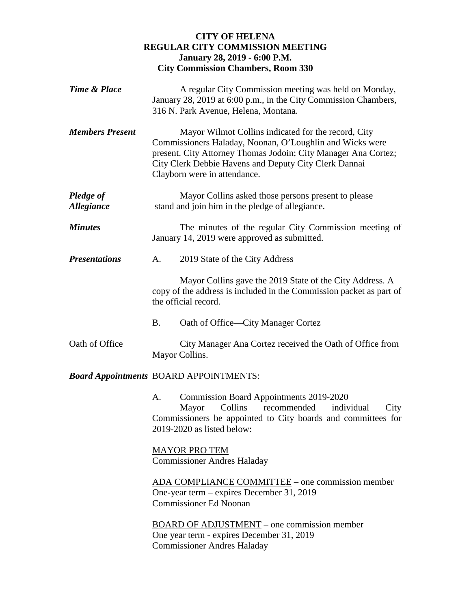# **CITY OF HELENA REGULAR CITY COMMISSION MEETING January 28, 2019 - 6:00 P.M. City Commission Chambers, Room 330**

| <b>Time &amp; Place</b>                      | A regular City Commission meeting was held on Monday,<br>January 28, 2019 at 6:00 p.m., in the City Commission Chambers,<br>316 N. Park Avenue, Helena, Montana.                                                                                                           |                                                                                                                                                                                                           |  |
|----------------------------------------------|----------------------------------------------------------------------------------------------------------------------------------------------------------------------------------------------------------------------------------------------------------------------------|-----------------------------------------------------------------------------------------------------------------------------------------------------------------------------------------------------------|--|
| <b>Members Present</b>                       | Mayor Wilmot Collins indicated for the record, City<br>Commissioners Haladay, Noonan, O'Loughlin and Wicks were<br>present. City Attorney Thomas Jodoin; City Manager Ana Cortez;<br>City Clerk Debbie Havens and Deputy City Clerk Dannai<br>Clayborn were in attendance. |                                                                                                                                                                                                           |  |
| <b>Pledge of</b><br><i><b>Allegiance</b></i> | Mayor Collins asked those persons present to please<br>stand and join him in the pledge of allegiance.                                                                                                                                                                     |                                                                                                                                                                                                           |  |
| <b>Minutes</b>                               | The minutes of the regular City Commission meeting of<br>January 14, 2019 were approved as submitted.                                                                                                                                                                      |                                                                                                                                                                                                           |  |
| <b>Presentations</b>                         | A.                                                                                                                                                                                                                                                                         | 2019 State of the City Address                                                                                                                                                                            |  |
|                                              | Mayor Collins gave the 2019 State of the City Address. A<br>copy of the address is included in the Commission packet as part of<br>the official record.                                                                                                                    |                                                                                                                                                                                                           |  |
|                                              | B.                                                                                                                                                                                                                                                                         | Oath of Office—City Manager Cortez                                                                                                                                                                        |  |
| Oath of Office                               | City Manager Ana Cortez received the Oath of Office from<br>Mayor Collins.                                                                                                                                                                                                 |                                                                                                                                                                                                           |  |
|                                              | <b>Board Appointments BOARD APPOINTMENTS:</b>                                                                                                                                                                                                                              |                                                                                                                                                                                                           |  |
|                                              | A.                                                                                                                                                                                                                                                                         | <b>Commission Board Appointments 2019-2020</b><br>Collins<br>recommended<br>individual<br>Mayor<br>City<br>Commissioners be appointed to City boards and committees for<br>$2019 - 2020$ as listed below: |  |
|                                              | <b>MAYOR PRO TEM</b><br><b>Commissioner Andres Haladay</b>                                                                                                                                                                                                                 |                                                                                                                                                                                                           |  |
|                                              | ADA COMPLIANCE COMMITTEE – one commission member<br>One-year term – expires December 31, 2019<br>Commissioner Ed Noonan                                                                                                                                                    |                                                                                                                                                                                                           |  |
|                                              |                                                                                                                                                                                                                                                                            | <b>BOARD OF ADJUSTMENT</b> – one commission member<br>One year term - expires December 31, 2019<br><b>Commissioner Andres Haladay</b>                                                                     |  |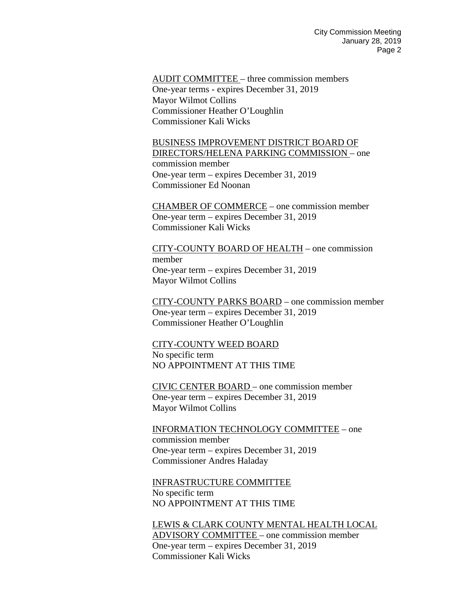AUDIT COMMITTEE – three commission members One-year terms - expires December 31, 2019 Mayor Wilmot Collins Commissioner Heather O'Loughlin Commissioner Kali Wicks

BUSINESS IMPROVEMENT DISTRICT BOARD OF DIRECTORS/HELENA PARKING COMMISSION – one commission member One-year term – expires December 31, 2019 Commissioner Ed Noonan

CHAMBER OF COMMERCE – one commission member One-year term – expires December 31, 2019 Commissioner Kali Wicks

CITY-COUNTY BOARD OF HEALTH – one commission member One-year term – expires December 31, 2019 Mayor Wilmot Collins

CITY-COUNTY PARKS BOARD – one commission member One-year term – expires December 31, 2019 Commissioner Heather O'Loughlin

CITY-COUNTY WEED BOARD No specific term NO APPOINTMENT AT THIS TIME

CIVIC CENTER BOARD – one commission member One-year term – expires December 31, 2019 Mayor Wilmot Collins

INFORMATION TECHNOLOGY COMMITTEE – one commission member One-year term – expires December 31, 2019 Commissioner Andres Haladay

INFRASTRUCTURE COMMITTEE No specific term NO APPOINTMENT AT THIS TIME

LEWIS & CLARK COUNTY MENTAL HEALTH LOCAL ADVISORY COMMITTEE – one commission member One-year term – expires December 31, 2019 Commissioner Kali Wicks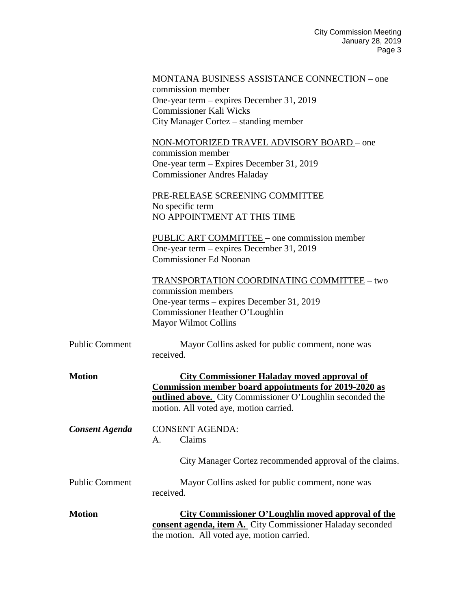|  | MONTANA BUSINESS ASSISTANCE CONNECTION – one |  |
|--|----------------------------------------------|--|
|  |                                              |  |

commission member One-year term – expires December 31, 2019 Commissioner Kali Wicks City Manager Cortez – standing member

NON-MOTORIZED TRAVEL ADVISORY BOARD – one commission member One-year term – Expires December 31, 2019 Commissioner Andres Haladay

PRE-RELEASE SCREENING COMMITTEE No specific term NO APPOINTMENT AT THIS TIME

PUBLIC ART COMMITTEE – one commission member One-year term – expires December 31, 2019 Commissioner Ed Noonan

TRANSPORTATION COORDINATING COMMITTEE – two commission members One-year terms – expires December 31, 2019 Commissioner Heather O'Loughlin Mayor Wilmot Collins

Public Comment Mayor Collins asked for public comment, none was received.

| <b>Motion</b>         | <b>City Commissioner Haladay moved approval of</b>                                                         |  |  |
|-----------------------|------------------------------------------------------------------------------------------------------------|--|--|
|                       | Commission member board appointments for 2019-2020 as                                                      |  |  |
|                       | <b>outlined above.</b> City Commissioner O'Loughlin seconded the<br>motion. All voted aye, motion carried. |  |  |
|                       |                                                                                                            |  |  |
| Consent Agenda        | <b>CONSENT AGENDA:</b>                                                                                     |  |  |
|                       | Claims<br>$\mathsf{A}_{\cdot}$                                                                             |  |  |
|                       | City Manager Cortez recommended approval of the claims.                                                    |  |  |
| <b>Public Comment</b> | Mayor Collins asked for public comment, none was<br>received.                                              |  |  |
| Motion                | City Commissioner O'Loughlin moved approval of the                                                         |  |  |
|                       | <b>consent agenda, item A.</b> City Commissioner Haladay seconded                                          |  |  |

the motion. All voted aye, motion carried.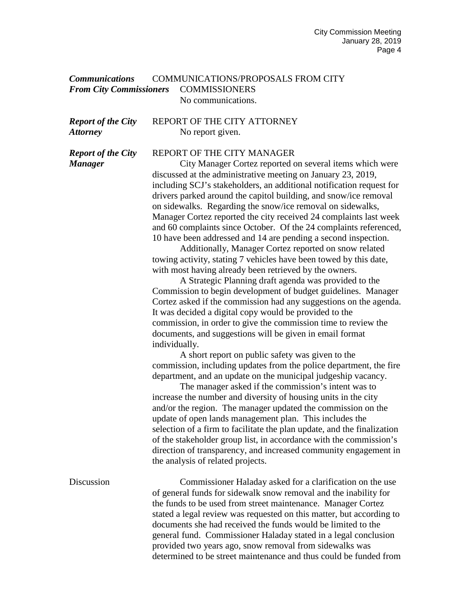## *Communications* COMMUNICATIONS/PROPOSALS FROM CITY *From City Commissioners* COMMISSIONERS No communications.

*Report of the City* REPORT OF THE CITY ATTORNEY *Attorney* No report given.

## **Report of the City** REPORT OF THE CITY MANAGER

*Manager* City Manager Cortez reported on several items which were discussed at the administrative meeting on January 23, 2019, including SCJ's stakeholders, an additional notification request for drivers parked around the capitol building, and snow/ice removal on sidewalks. Regarding the snow/ice removal on sidewalks, Manager Cortez reported the city received 24 complaints last week and 60 complaints since October. Of the 24 complaints referenced, 10 have been addressed and 14 are pending a second inspection.

> Additionally, Manager Cortez reported on snow related towing activity, stating 7 vehicles have been towed by this date, with most having already been retrieved by the owners.

A Strategic Planning draft agenda was provided to the Commission to begin development of budget guidelines. Manager Cortez asked if the commission had any suggestions on the agenda. It was decided a digital copy would be provided to the commission, in order to give the commission time to review the documents, and suggestions will be given in email format individually.

A short report on public safety was given to the commission, including updates from the police department, the fire department, and an update on the municipal judgeship vacancy.

The manager asked if the commission's intent was to increase the number and diversity of housing units in the city and/or the region. The manager updated the commission on the update of open lands management plan. This includes the selection of a firm to facilitate the plan update, and the finalization of the stakeholder group list, in accordance with the commission's direction of transparency, and increased community engagement in the analysis of related projects.

## Discussion Commissioner Haladay asked for a clarification on the use of general funds for sidewalk snow removal and the inability for the funds to be used from street maintenance. Manager Cortez stated a legal review was requested on this matter, but according to documents she had received the funds would be limited to the general fund. Commissioner Haladay stated in a legal conclusion provided two years ago, snow removal from sidewalks was determined to be street maintenance and thus could be funded from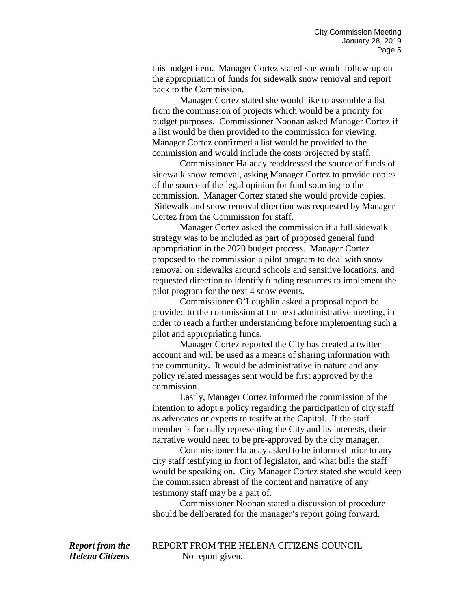this budget item. Manager Cortez stated she would follow-up on the appropriation of funds for sidewalk snow removal and report back to the Commission.

Manager Cortez stated she would like to assemble a list from the commission of projects which would be a priority for budget purposes. Commissioner Noonan asked Manager Cortez if a list would be then provided to the commission for viewing. Manager Cortez confirmed a list would be provided to the commission and would include the costs projected by staff.

Commissioner Haladay readdressed the source of funds of sidewalk snow removal, asking Manager Cortez to provide copies of the source of the legal opinion for fund sourcing to the commission. Manager Cortez stated she would provide copies. Sidewalk and snow removal direction was requested by Manager Cortez from the Commission for staff.

Manager Cortez asked the commission if a full sidewalk strategy was to be included as part of proposed general fund appropriation in the 2020 budget process. Manager Cortez proposed to the commission a pilot program to deal with snow removal on sidewalks around schools and sensitive locations, and requested direction to identify funding resources to implement the pilot program for the next 4 snow events.

Commissioner O'Loughlin asked a proposal report be provided to the commission at the next administrative meeting, in order to reach a further understanding before implementing such a pilot and appropriating funds.

Manager Cortez reported the City has created a twitter account and will be used as a means of sharing information with the community. It would be administrative in nature and any policy related messages sent would be first approved by the commission.

Lastly, Manager Cortez informed the commission of the intention to adopt a policy regarding the participation of city staff as advocates or experts to testify at the Capitol. If the staff member is formally representing the City and its interests, their narrative would need to be pre-approved by the city manager.

Commissioner Haladay asked to be informed prior to any city staff testifying in front of legislator, and what bills the staff would be speaking on. City Manager Cortez stated she would keep the commission abreast of the content and narrative of any testimony staff may be a part of.

Commissioner Noonan stated a discussion of procedure should be deliberated for the manager's report going forward.

*Report from the* **REPORT FROM THE HELENA CITIZENS COUNCIL** *Helena Citizens* No report given.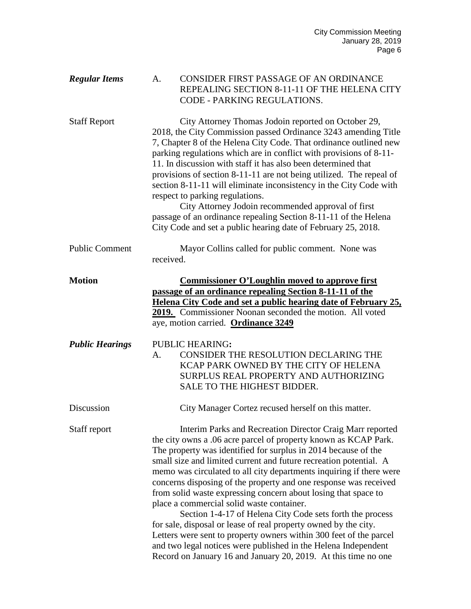| <b>Regular Items</b>   | <b>CONSIDER FIRST PASSAGE OF AN ORDINANCE</b><br>А.<br>REPEALING SECTION 8-11-11 OF THE HELENA CITY<br>CODE - PARKING REGULATIONS.                                                                                                                                                                                                                                                                                                                                                                                                                                                                                                                                                                                                                                                                                                                                      |
|------------------------|-------------------------------------------------------------------------------------------------------------------------------------------------------------------------------------------------------------------------------------------------------------------------------------------------------------------------------------------------------------------------------------------------------------------------------------------------------------------------------------------------------------------------------------------------------------------------------------------------------------------------------------------------------------------------------------------------------------------------------------------------------------------------------------------------------------------------------------------------------------------------|
| <b>Staff Report</b>    | City Attorney Thomas Jodoin reported on October 29,<br>2018, the City Commission passed Ordinance 3243 amending Title<br>7, Chapter 8 of the Helena City Code. That ordinance outlined new<br>parking regulations which are in conflict with provisions of 8-11-<br>11. In discussion with staff it has also been determined that<br>provisions of section 8-11-11 are not being utilized. The repeal of<br>section 8-11-11 will eliminate inconsistency in the City Code with<br>respect to parking regulations.<br>City Attorney Jodoin recommended approval of first<br>passage of an ordinance repealing Section 8-11-11 of the Helena<br>City Code and set a public hearing date of February 25, 2018.                                                                                                                                                             |
| <b>Public Comment</b>  | Mayor Collins called for public comment. None was<br>received.                                                                                                                                                                                                                                                                                                                                                                                                                                                                                                                                                                                                                                                                                                                                                                                                          |
| <b>Motion</b>          | <b>Commissioner O'Loughlin moved to approve first</b><br>passage of an ordinance repealing Section 8-11-11 of the<br>Helena City Code and set a public hearing date of February 25,<br><b>2019.</b> Commissioner Noonan seconded the motion. All voted<br>aye, motion carried. Ordinance 3249                                                                                                                                                                                                                                                                                                                                                                                                                                                                                                                                                                           |
| <b>Public Hearings</b> | <b>PUBLIC HEARING:</b><br><b>CONSIDER THE RESOLUTION DECLARING THE</b><br>А.<br>KCAP PARK OWNED BY THE CITY OF HELENA<br>SURPLUS REAL PROPERTY AND AUTHORIZING<br><b>SALE TO THE HIGHEST BIDDER.</b>                                                                                                                                                                                                                                                                                                                                                                                                                                                                                                                                                                                                                                                                    |
| Discussion             | City Manager Cortez recused herself on this matter.                                                                                                                                                                                                                                                                                                                                                                                                                                                                                                                                                                                                                                                                                                                                                                                                                     |
| Staff report           | Interim Parks and Recreation Director Craig Marr reported<br>the city owns a .06 acre parcel of property known as KCAP Park.<br>The property was identified for surplus in 2014 because of the<br>small size and limited current and future recreation potential. A<br>memo was circulated to all city departments inquiring if there were<br>concerns disposing of the property and one response was received<br>from solid waste expressing concern about losing that space to<br>place a commercial solid waste container.<br>Section 1-4-17 of Helena City Code sets forth the process<br>for sale, disposal or lease of real property owned by the city.<br>Letters were sent to property owners within 300 feet of the parcel<br>and two legal notices were published in the Helena Independent<br>Record on January 16 and January 20, 2019. At this time no one |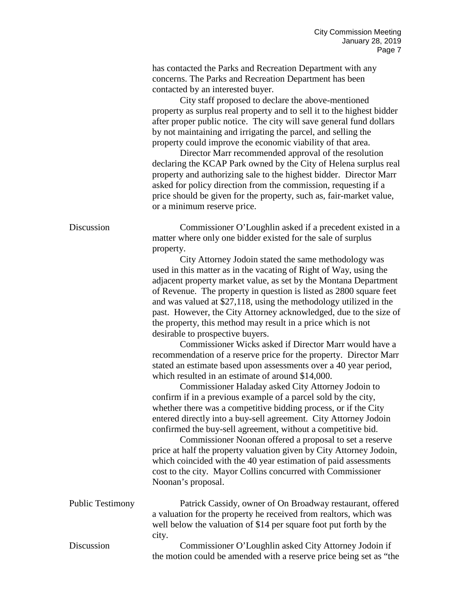| has contacted the Parks and Recreation Department with any |
|------------------------------------------------------------|
| concerns. The Parks and Recreation Department has been     |
| contacted by an interested buyer.                          |

City staff proposed to declare the above-mentioned property as surplus real property and to sell it to the highest bidder after proper public notice. The city will save general fund dollars by not maintaining and irrigating the parcel, and selling the property could improve the economic viability of that area.

Director Marr recommended approval of the resolution declaring the KCAP Park owned by the City of Helena surplus real property and authorizing sale to the highest bidder. Director Marr asked for policy direction from the commission, requesting if a price should be given for the property, such as, fair-market value, or a minimum reserve price.

| Discussion              | Commissioner O'Loughlin asked if a precedent existed in a           |  |  |
|-------------------------|---------------------------------------------------------------------|--|--|
|                         | matter where only one bidder existed for the sale of surplus        |  |  |
|                         | property.                                                           |  |  |
|                         | City Attorney Jodoin stated the same methodology was                |  |  |
|                         | used in this matter as in the vacating of Right of Way, using the   |  |  |
|                         | adjacent property market value, as set by the Montana Department    |  |  |
|                         | of Revenue. The property in question is listed as 2800 square feet  |  |  |
|                         | and was valued at \$27,118, using the methodology utilized in the   |  |  |
|                         | past. However, the City Attorney acknowledged, due to the size of   |  |  |
|                         | the property, this method may result in a price which is not        |  |  |
|                         | desirable to prospective buyers.                                    |  |  |
|                         | Commissioner Wicks asked if Director Marr would have a              |  |  |
|                         | recommendation of a reserve price for the property. Director Marr   |  |  |
|                         | stated an estimate based upon assessments over a 40 year period,    |  |  |
|                         | which resulted in an estimate of around \$14,000.                   |  |  |
|                         | Commissioner Haladay asked City Attorney Jodoin to                  |  |  |
|                         | confirm if in a previous example of a parcel sold by the city,      |  |  |
|                         | whether there was a competitive bidding process, or if the City     |  |  |
|                         | entered directly into a buy-sell agreement. City Attorney Jodoin    |  |  |
|                         |                                                                     |  |  |
|                         | confirmed the buy-sell agreement, without a competitive bid.        |  |  |
|                         | Commissioner Noonan offered a proposal to set a reserve             |  |  |
|                         | price at half the property valuation given by City Attorney Jodoin, |  |  |
|                         | which coincided with the 40 year estimation of paid assessments     |  |  |
|                         | cost to the city. Mayor Collins concurred with Commissioner         |  |  |
|                         | Noonan's proposal.                                                  |  |  |
| <b>Public Testimony</b> | Patrick Cassidy, owner of On Broadway restaurant, offered           |  |  |
|                         | a valuation for the property he received from realtors, which was   |  |  |
|                         | well below the valuation of \$14 per square foot put forth by the   |  |  |
|                         | city.                                                               |  |  |
| Discussion              | Commissioner O'Loughlin asked City Attorney Jodoin if               |  |  |
|                         | the motion could be amended with a reserve price being set as "the  |  |  |
|                         |                                                                     |  |  |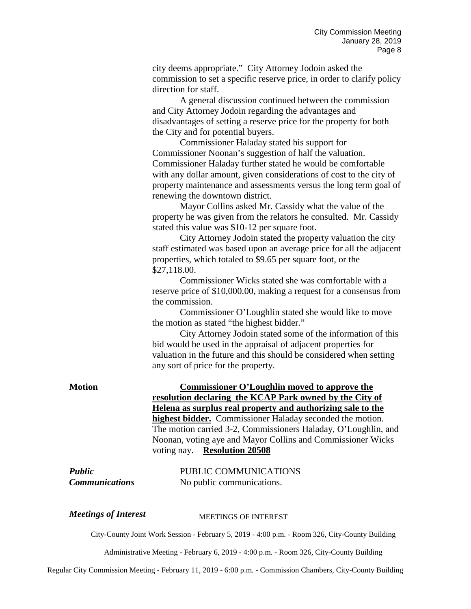city deems appropriate." City Attorney Jodoin asked the commission to set a specific reserve price, in order to clarify policy direction for staff.

A general discussion continued between the commission and City Attorney Jodoin regarding the advantages and disadvantages of setting a reserve price for the property for both the City and for potential buyers.

Commissioner Haladay stated his support for Commissioner Noonan's suggestion of half the valuation. Commissioner Haladay further stated he would be comfortable with any dollar amount, given considerations of cost to the city of property maintenance and assessments versus the long term goal of renewing the downtown district.

Mayor Collins asked Mr. Cassidy what the value of the property he was given from the relators he consulted. Mr. Cassidy stated this value was \$10-12 per square foot.

City Attorney Jodoin stated the property valuation the city staff estimated was based upon an average price for all the adjacent properties, which totaled to \$9.65 per square foot, or the \$27,118.00.

Commissioner Wicks stated she was comfortable with a reserve price of \$10,000.00, making a request for a consensus from the commission.

Commissioner O'Loughlin stated she would like to move the motion as stated "the highest bidder."

City Attorney Jodoin stated some of the information of this bid would be used in the appraisal of adjacent properties for valuation in the future and this should be considered when setting any sort of price for the property.

**Motion Commissioner O'Loughlin moved to approve the resolution declaring the KCAP Park owned by the City of Helena as surplus real property and authorizing sale to the highest bidder.** Commissioner Haladay seconded the motion. The motion carried 3-2, Commissioners Haladay, O'Loughlin, and Noonan, voting aye and Mayor Collins and Commissioner Wicks voting nay. **Resolution 20508**

| <b>Public</b>         | PUBLIC COMMUNICATIONS     |
|-----------------------|---------------------------|
| <b>Communications</b> | No public communications. |

## *Meetings of Interest*

#### MEETINGS OF INTEREST

City-County Joint Work Session - February 5, 2019 - 4:00 p.m. - Room 326, City-County Building

Administrative Meeting - February 6, 2019 - 4:00 p.m. - Room 326, City-County Building

Regular City Commission Meeting - February 11, 2019 - 6:00 p.m. - Commission Chambers, City-County Building